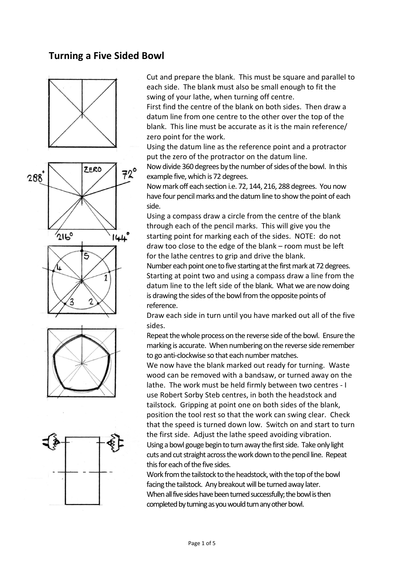### **Turning a Five Sided Bowl**



Cut and prepare the blank. This must be square and parallel to each side. The blank must also be small enough to fit the swing of your lathe, when turning off centre.

First find the centre of the blank on both sides. Then draw a datum line from one centre to the other over the top of the blank. This line must be accurate as it is the main reference/ zero point for the work.

Using the datum line as the reference point and a protractor put the zero of the protractor on the datum line.

Now divide 360 degrees by the number of sides of the bowl. In this example five, which is 72 degrees.

Now mark off each section i.e. 72, 144, 216, 288 degrees. You now have four pencil marks and the datum line to show the point of each side.

Using a compass draw a circle from the centre of the blank through each of the pencil marks. This will give you the starting point for marking each of the sides. NOTE: do not draw too close to the edge of the blank – room must be left for the lathe centres to grip and drive the blank.

Number each point one to five starting at the first mark at 72 degrees. Starting at point two and using a compass draw a line from the datum line to the left side of the blank. What we are now doing is drawing the sides of the bowl from the opposite points of reference.

Draw each side in turn until you have marked out all of the five sides.

Repeat the whole process on the reverse side of the bowl. Ensure the marking is accurate. When numbering on the reverse side remember to go anti-clockwise so that each number matches.

We now have the blank marked out ready for turning. Waste wood can be removed with a bandsaw, or turned away on the lathe. The work must be held firmly between two centres - I use Robert Sorby Steb centres, in both the headstock and tailstock. Gripping at point one on both sides of the blank, position the tool rest so that the work can swing clear. Check that the speed is turned down low. Switch on and start to turn the first side. Adjust the lathe speed avoiding vibration. Using a bowl gouge begin to turn away the first side. Take only light cuts and cut straight across the work down to the pencil line. Repeat this for each of the five sides.

Work from the tailstock to the headstock, with the top of the bowl facing the tailstock. Any breakout will be turned away later. When all five sides have been turned successfully; the bowl is then completed by turning asyou would turn any other bowl.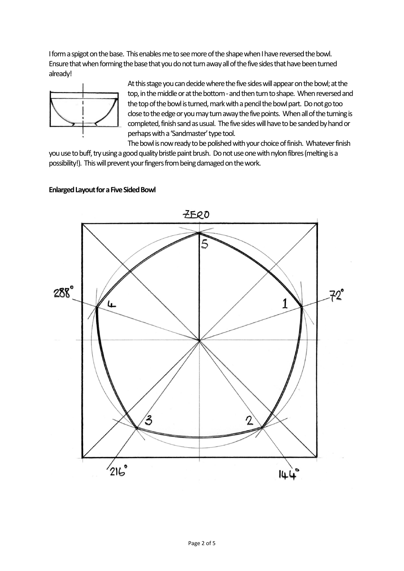I form a spigot on the base. This enables me to see more of the shape when I have reversed the bowl. Ensure that when forming the base that you do not turn away all of the five sides that have been turned already!



At this stage you can decide where the five sides will appear on the bowl; at the top, in the middle or at the bottom - and then turn to shape. When reversed and the top of the bowl is turned, mark with a pencil the bowl part. Do not go too close to the edge or you may turn away the five points. When all of the turning is completed, finish sand as usual. The five sides will have to be sanded by hand or perhaps with a 'Sandmaster' type tool.

The bowl is now ready to be polished with your choice of finish. Whatever finish you use to buff, try using a good quality bristle paint brush. Do not use one with nylon fibres (melting is a possibility!). This will prevent your fingers from being damaged on the work.

# $ZERO$ 5  $288^\circ$  $72^\circ$ 1 ﯩ  $^{\prime}$ 3  $216°$ 144

#### **Enlarged Layout for a Five Sided Bowl**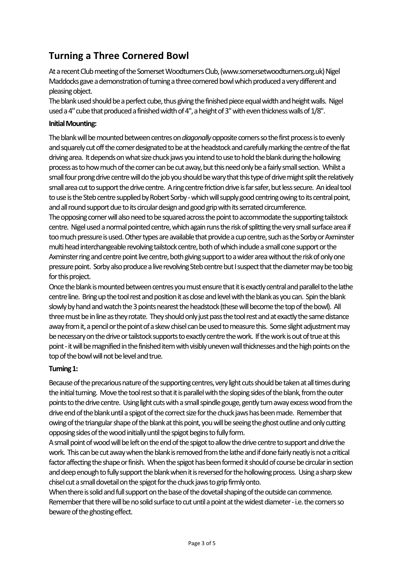## **Turning a Three Cornered Bowl**

At a recent Club meeting of the Somerset Woodturners Club, [\(www.somersetwoodturners.org.uk\)](http://www.somersetwoodturners.org.uk/) Nigel Maddocks gave a demonstration of turning a three cornered bowl which produced a very different and pleasing object.

The blank used should be a perfect cube, thus giving the finished piece equal width and height walls. Nigel used a 4" cube that produced a finished width of 4", a height of 3" with even thickness walls of 1/8".

#### **Initial Mounting:**

The blank will be mounted between centres on *diagonally*opposite corners so the first process is to evenly and squarely cut off the corner designated to be at the headstock and carefully marking the centre of the flat driving area. It depends on what size chuck jaws you intend to use to hold the blank during the hollowing process as to how much of the corner can be cut away, but this need only be a fairly small section. Whilst a small four prong drive centre will do the job you should be wary that this type of drive might split the relatively small area cut to support the drive centre. A ring centre friction drive is far safer, but less secure. An ideal tool to use is the Steb centre supplied by Robert Sorby - which will supply good centring owing to its central point, andall round support due to its circular design and good grip with its serrated circumference.

The opposing corner will also need to be squared across the point to accommodate the supporting tailstock centre. Nigel used a normal pointed centre, which again runs the risk of splitting the very small surface area if too much pressure is used. Other types are available that provide a cup centre, such as the Sorby or Axminster multi head interchangeable revolving tailstock centre, both of which include a small cone support or the Axminster ring and centre point live centre, both giving support to a wider area without the risk of only one pressure point. Sorby also produce a live revolving Steb centre but I suspect that the diameter maybe too big for this project.

Once the blank is mounted between centres you must ensure that it is exactly central and parallel to the lathe centre line. Bring up the tool rest and position it as close and level with the blank as you can. Spin the blank slowly by hand and watch the 3 points nearest the headstock (these will become the top of the bowl). All three must be in line as they rotate. They should only just pass the tool rest and at exactly the same distance away from it, a pencil or the point of a skew chisel can be used to measure this. Some slight adjustment may be necessary on the drive or tailstock supports to exactly centre the work. If the work is out of true at this point - it will be magnified in the finished item with visibly uneven wall thicknesses and the high points on the top of the bowl will not be level and true.

#### **Turning 1:**

Because of the precarious nature of the supporting centres, very light cuts should be taken at all times during the initial turning. Move the tool rest so that it is parallel with the sloping sides of the blank, from the outer points to the drive centre. Using light cuts with a small spindle gouge, gently turn away excess wood from the drive end of the blank until a spigot of the correct size for the chuck jaws has been made. Remember that owingof the triangular shape of the blank at this point,you will be seeing the ghost outline and only cutting opposing sides of the wood initially until the spigot begins to fully form.

A small point of wood will be left on the end of the spigot to allow the drive centre to support and drive the work. This can be cut away when the blank is removed from the lathe and if done fairly neatly is not a critical factor affecting the shape or finish. When the spigot has been formed it should of course be circular in section and deep enough to fully support the blank when it is reversed for the hollowing process. Using a sharp skew chisel cut a small dovetail on the spigot for the chuck jaws to grip firmly onto.

When there is solid and full support on the base of the dovetail shaping of the outside can commence. Remember that there will be no solid surface to cut until a point at the widest diameter - i.e. the corners so beware of the ghosting effect.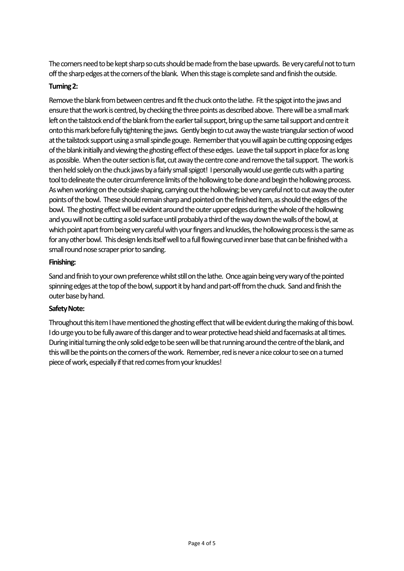The corners need to be kept sharp so cuts should be made from the base upwards. Be very careful not to turn off the sharp edges at the corners of the blank. When this stage is complete sand and finish the outside.

#### **Turning 2:**

Remove the blank from between centres and fit the chuck onto the lathe. Fit the spigot into the jaws and ensure that the work is centred, by checking the three points as described above. There will be a small mark left on the tailstock end of the blank from the earlier tail support, bring up the same tail support and centre it onto this mark before fully tightening the jaws. Gently begin to cut away the waste triangular section of wood at the tailstock support using asmall spindle gouge. Remember that you will again be cutting opposing edges of the blank initially and viewing the ghosting effect of these edges. Leave the tail support in place for as long as possible. When the outer section is flat, cut away the centre cone and remove the tail support. The work is then held solely on the chuck jaws by a fairly small spigot! I personally would use gentle cuts with a parting tool to delineate the outer circumference limits of the hollowing to be done and begin the hollowing process. As when working on the outside shaping, carrying out the hollowing; be very careful not to cut away the outer points of the bowl. These should remain sharp and pointed on the finished item, as should the edges of the bowl. The ghosting effect will be evident around the outer upper edges during the whole of the hollowing and you will not be cutting a solid surface until probably a third of the way down the walls of the bowl, at which point apart from being very careful with your fingers and knuckles, the hollowing process is the same as for any other bowl. This design lends itself well to a full flowing curved inner base that can be finished with a small round nose scraper prior to sanding.

#### **Finishing:**

Sand and finish to your own preference whilst still on the lathe. Once again being very wary of the pointed spinning edges at the top of the bowl, support it by hand and part-off from the chuck. Sand and finish the outer base by hand.

#### **Safety Note:**

Throughout this item I have mentioned the ghosting effect that will be evident during the making of this bowl. I do urge you to be fully aware of this danger and to wear protective head shield and facemasks at all times. During initial turning the only solid edge to be seen will be that running around the centre of the blank, and this will be the points on the corners of the work. Remember, red is never a nice colour to see on a turned piece of work, especially if that red comes from your knuckles!